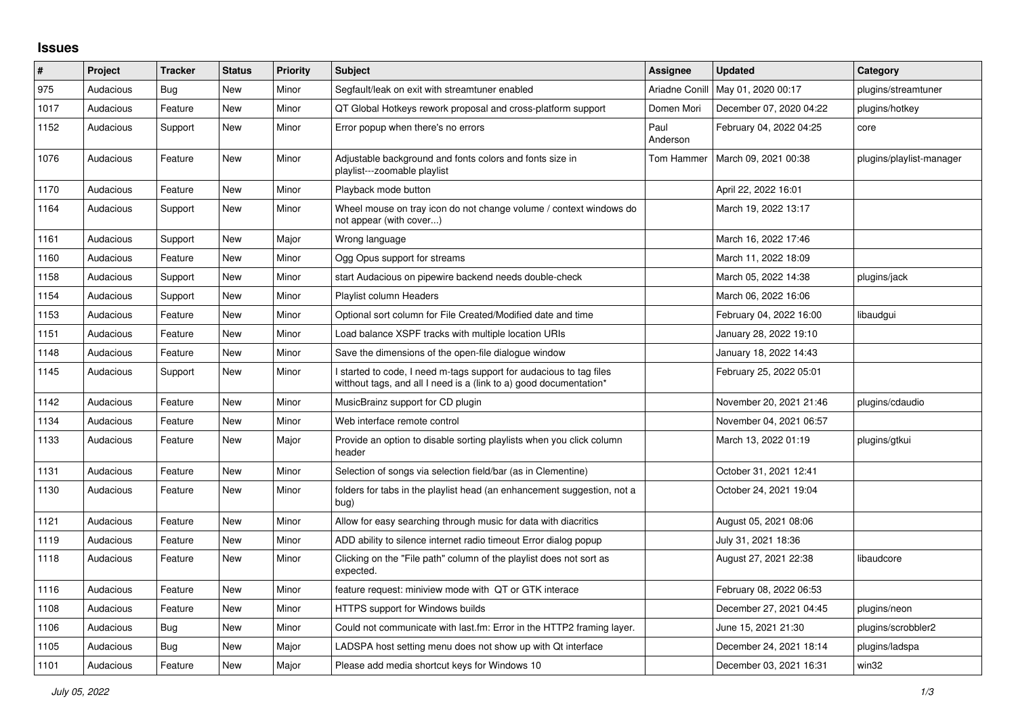## **Issues**

| $\sharp$ | Project   | <b>Tracker</b> | <b>Status</b> | <b>Priority</b> | <b>Subject</b>                                                                                                                            | <b>Assignee</b>  | <b>Updated</b>          | Category                 |
|----------|-----------|----------------|---------------|-----------------|-------------------------------------------------------------------------------------------------------------------------------------------|------------------|-------------------------|--------------------------|
| 975      | Audacious | Bug            | New           | Minor           | Segfault/leak on exit with streamtuner enabled                                                                                            | Ariadne Conill   | May 01, 2020 00:17      | plugins/streamtuner      |
| 1017     | Audacious | Feature        | <b>New</b>    | Minor           | QT Global Hotkeys rework proposal and cross-platform support                                                                              | Domen Mori       | December 07, 2020 04:22 | plugins/hotkey           |
| 1152     | Audacious | Support        | <b>New</b>    | Minor           | Error popup when there's no errors                                                                                                        | Paul<br>Anderson | February 04, 2022 04:25 | core                     |
| 1076     | Audacious | Feature        | <b>New</b>    | Minor           | Adjustable background and fonts colors and fonts size in<br>playlist---zoomable playlist                                                  | Tom Hammer       | March 09, 2021 00:38    | plugins/playlist-manager |
| 1170     | Audacious | Feature        | <b>New</b>    | Minor           | Playback mode button                                                                                                                      |                  | April 22, 2022 16:01    |                          |
| 1164     | Audacious | Support        | New           | Minor           | Wheel mouse on tray icon do not change volume / context windows do<br>not appear (with cover)                                             |                  | March 19, 2022 13:17    |                          |
| 1161     | Audacious | Support        | New           | Major           | Wrong language                                                                                                                            |                  | March 16, 2022 17:46    |                          |
| 1160     | Audacious | Feature        | <b>New</b>    | Minor           | Ogg Opus support for streams                                                                                                              |                  | March 11, 2022 18:09    |                          |
| 1158     | Audacious | Support        | New           | Minor           | start Audacious on pipewire backend needs double-check                                                                                    |                  | March 05, 2022 14:38    | plugins/jack             |
| 1154     | Audacious | Support        | <b>New</b>    | Minor           | Playlist column Headers                                                                                                                   |                  | March 06, 2022 16:06    |                          |
| 1153     | Audacious | Feature        | New           | Minor           | Optional sort column for File Created/Modified date and time                                                                              |                  | February 04, 2022 16:00 | libaudqui                |
| 1151     | Audacious | Feature        | <b>New</b>    | Minor           | Load balance XSPF tracks with multiple location URIs                                                                                      |                  | January 28, 2022 19:10  |                          |
| 1148     | Audacious | Feature        | New           | Minor           | Save the dimensions of the open-file dialogue window                                                                                      |                  | January 18, 2022 14:43  |                          |
| 1145     | Audacious | Support        | New           | Minor           | I started to code, I need m-tags support for audacious to tag files<br>witthout tags, and all I need is a (link to a) good documentation* |                  | February 25, 2022 05:01 |                          |
| 1142     | Audacious | Feature        | <b>New</b>    | Minor           | MusicBrainz support for CD plugin                                                                                                         |                  | November 20, 2021 21:46 | plugins/cdaudio          |
| 1134     | Audacious | Feature        | <b>New</b>    | Minor           | Web interface remote control                                                                                                              |                  | November 04, 2021 06:57 |                          |
| 1133     | Audacious | Feature        | New           | Major           | Provide an option to disable sorting playlists when you click column<br>header                                                            |                  | March 13, 2022 01:19    | plugins/gtkui            |
| 1131     | Audacious | Feature        | New           | Minor           | Selection of songs via selection field/bar (as in Clementine)                                                                             |                  | October 31, 2021 12:41  |                          |
| 1130     | Audacious | Feature        | <b>New</b>    | Minor           | folders for tabs in the playlist head (an enhancement suggestion, not a<br>bug)                                                           |                  | October 24, 2021 19:04  |                          |
| 1121     | Audacious | Feature        | <b>New</b>    | Minor           | Allow for easy searching through music for data with diacritics                                                                           |                  | August 05, 2021 08:06   |                          |
| 1119     | Audacious | Feature        | New           | Minor           | ADD ability to silence internet radio timeout Error dialog popup                                                                          |                  | July 31, 2021 18:36     |                          |
| 1118     | Audacious | Feature        | New           | Minor           | Clicking on the "File path" column of the playlist does not sort as<br>expected.                                                          |                  | August 27, 2021 22:38   | libaudcore               |
| 1116     | Audacious | Feature        | New           | Minor           | feature request: miniview mode with QT or GTK interace                                                                                    |                  | February 08, 2022 06:53 |                          |
| 1108     | Audacious | Feature        | New           | Minor           | HTTPS support for Windows builds                                                                                                          |                  | December 27, 2021 04:45 | plugins/neon             |
| 1106     | Audacious | Bug            | <b>New</b>    | Minor           | Could not communicate with last.fm: Error in the HTTP2 framing layer.                                                                     |                  | June 15, 2021 21:30     | plugins/scrobbler2       |
| 1105     | Audacious | Bug            | <b>New</b>    | Major           | LADSPA host setting menu does not show up with Qt interface                                                                               |                  | December 24, 2021 18:14 | plugins/ladspa           |
| 1101     | Audacious | Feature        | <b>New</b>    | Major           | Please add media shortcut keys for Windows 10                                                                                             |                  | December 03, 2021 16:31 | win32                    |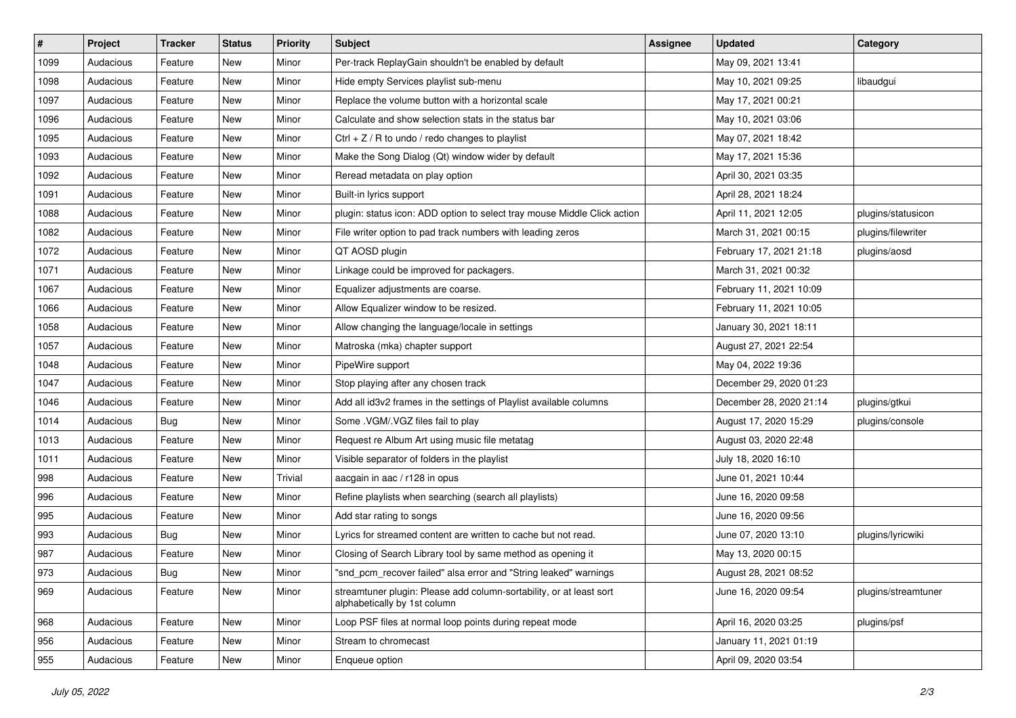| $\vert$ # | Project   | <b>Tracker</b> | <b>Status</b> | <b>Priority</b> | <b>Subject</b>                                                                                      | <b>Assignee</b> | <b>Updated</b>          | Category            |
|-----------|-----------|----------------|---------------|-----------------|-----------------------------------------------------------------------------------------------------|-----------------|-------------------------|---------------------|
| 1099      | Audacious | Feature        | New           | Minor           | Per-track ReplayGain shouldn't be enabled by default                                                |                 | May 09, 2021 13:41      |                     |
| 1098      | Audacious | Feature        | New           | Minor           | Hide empty Services playlist sub-menu                                                               |                 | May 10, 2021 09:25      | libaudgui           |
| 1097      | Audacious | Feature        | New           | Minor           | Replace the volume button with a horizontal scale                                                   |                 | May 17, 2021 00:21      |                     |
| 1096      | Audacious | Feature        | New           | Minor           | Calculate and show selection stats in the status bar                                                |                 | May 10, 2021 03:06      |                     |
| 1095      | Audacious | Feature        | New           | Minor           | Ctrl $+$ Z / R to undo / redo changes to playlist                                                   |                 | May 07, 2021 18:42      |                     |
| 1093      | Audacious | Feature        | New           | Minor           | Make the Song Dialog (Qt) window wider by default                                                   |                 | May 17, 2021 15:36      |                     |
| 1092      | Audacious | Feature        | New           | Minor           | Reread metadata on play option                                                                      |                 | April 30, 2021 03:35    |                     |
| 1091      | Audacious | Feature        | New           | Minor           | Built-in lyrics support                                                                             |                 | April 28, 2021 18:24    |                     |
| 1088      | Audacious | Feature        | New           | Minor           | plugin: status icon: ADD option to select tray mouse Middle Click action                            |                 | April 11, 2021 12:05    | plugins/statusicon  |
| 1082      | Audacious | Feature        | <b>New</b>    | Minor           | File writer option to pad track numbers with leading zeros                                          |                 | March 31, 2021 00:15    | plugins/filewriter  |
| 1072      | Audacious | Feature        | New           | Minor           | QT AOSD plugin                                                                                      |                 | February 17, 2021 21:18 | plugins/aosd        |
| 1071      | Audacious | Feature        | New           | Minor           | Linkage could be improved for packagers.                                                            |                 | March 31, 2021 00:32    |                     |
| 1067      | Audacious | Feature        | New           | Minor           | Equalizer adjustments are coarse.                                                                   |                 | February 11, 2021 10:09 |                     |
| 1066      | Audacious | Feature        | New           | Minor           | Allow Equalizer window to be resized.                                                               |                 | February 11, 2021 10:05 |                     |
| 1058      | Audacious | Feature        | New           | Minor           | Allow changing the language/locale in settings                                                      |                 | January 30, 2021 18:11  |                     |
| 1057      | Audacious | Feature        | New           | Minor           | Matroska (mka) chapter support                                                                      |                 | August 27, 2021 22:54   |                     |
| 1048      | Audacious | Feature        | New           | Minor           | PipeWire support                                                                                    |                 | May 04, 2022 19:36      |                     |
| 1047      | Audacious | Feature        | New           | Minor           | Stop playing after any chosen track                                                                 |                 | December 29, 2020 01:23 |                     |
| 1046      | Audacious | Feature        | New           | Minor           | Add all id3v2 frames in the settings of Playlist available columns                                  |                 | December 28, 2020 21:14 | plugins/gtkui       |
| 1014      | Audacious | <b>Bug</b>     | New           | Minor           | Some .VGM/.VGZ files fail to play                                                                   |                 | August 17, 2020 15:29   | plugins/console     |
| 1013      | Audacious | Feature        | New           | Minor           | Request re Album Art using music file metatag                                                       |                 | August 03, 2020 22:48   |                     |
| 1011      | Audacious | Feature        | New           | Minor           | Visible separator of folders in the playlist                                                        |                 | July 18, 2020 16:10     |                     |
| 998       | Audacious | Feature        | New           | Trivial         | aacgain in aac / r128 in opus                                                                       |                 | June 01, 2021 10:44     |                     |
| 996       | Audacious | Feature        | New           | Minor           | Refine playlists when searching (search all playlists)                                              |                 | June 16, 2020 09:58     |                     |
| 995       | Audacious | Feature        | New           | Minor           | Add star rating to songs                                                                            |                 | June 16, 2020 09:56     |                     |
| 993       | Audacious | Bug            | New           | Minor           | Lyrics for streamed content are written to cache but not read.                                      |                 | June 07, 2020 13:10     | plugins/lyricwiki   |
| 987       | Audacious | Feature        | New           | Minor           | Closing of Search Library tool by same method as opening it                                         |                 | May 13, 2020 00:15      |                     |
| 973       | Audacious | Bug            | New           | Minor           | "snd_pcm_recover failed" alsa error and "String leaked" warnings                                    |                 | August 28, 2021 08:52   |                     |
| 969       | Audacious | Feature        | New           | Minor           | streamtuner plugin: Please add column-sortability, or at least sort<br>alphabetically by 1st column |                 | June 16, 2020 09:54     | plugins/streamtuner |
| 968       | Audacious | Feature        | New           | Minor           | Loop PSF files at normal loop points during repeat mode                                             |                 | April 16, 2020 03:25    | plugins/psf         |
| 956       | Audacious | Feature        | New           | Minor           | Stream to chromecast                                                                                |                 | January 11, 2021 01:19  |                     |
| 955       | Audacious | Feature        | New           | Minor           | Enqueue option                                                                                      |                 | April 09, 2020 03:54    |                     |